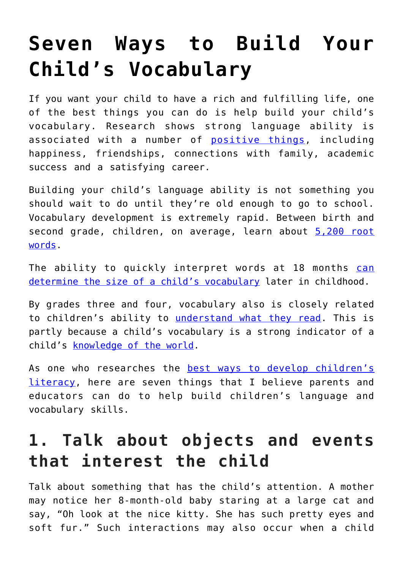# **[Seven Ways to Build Your](https://intellectualtakeout.org/2019/06/seven-ways-to-build-your-childs-vocabulary/) [Child's Vocabulary](https://intellectualtakeout.org/2019/06/seven-ways-to-build-your-childs-vocabulary/)**

If you want your child to have a rich and fulfilling life, one of the best things you can do is help build your child's vocabulary. Research shows strong language ability is associated with a number of **positive things**, including happiness, friendships, connections with family, academic success and a satisfying career.

Building your child's language ability is not something you should wait to do until they're old enough to go to school. Vocabulary development is extremely rapid. Between birth and second grade, children, on average, learn about [5,200 root](https://psycnet.apa.org/doiLanding?doi=10.1037%2F0022-0663.93.3.498) [words](https://psycnet.apa.org/doiLanding?doi=10.1037%2F0022-0663.93.3.498).

The ability to quickly interpret words at 18 months [can](https://psycnet.apa.org/doiLanding?doi=10.1037%2F0012-1649.42.1.98) [determine the size of a child's vocabulary](https://psycnet.apa.org/doiLanding?doi=10.1037%2F0012-1649.42.1.98) later in childhood.

By grades three and four, vocabulary also is closely related to children's ability to [understand what they read.](https://psycnet.apa.org/doiLanding?doi=10.1037%2F0012-1649.38.6.934) This is partly because a child's vocabulary is a strong indicator of a child's [knowledge of the world](https://ila.onlinelibrary.wiley.com/doi/abs/10.1598/RRQ.36.4.6).

As one who researches the [best ways to develop children's](https://scholar.google.com/citations?user=rjWpQhMAAAAJ&hl=en&oi=ao) [literacy](https://scholar.google.com/citations?user=rjWpQhMAAAAJ&hl=en&oi=ao), here are seven things that I believe parents and educators can do to help build children's language and vocabulary skills.

### **1. Talk about objects and events that interest the child**

Talk about something that has the child's attention. A mother may notice her 8-month-old baby staring at a large cat and say, "Oh look at the nice kitty. She has such pretty eyes and soft fur." Such interactions may also occur when a child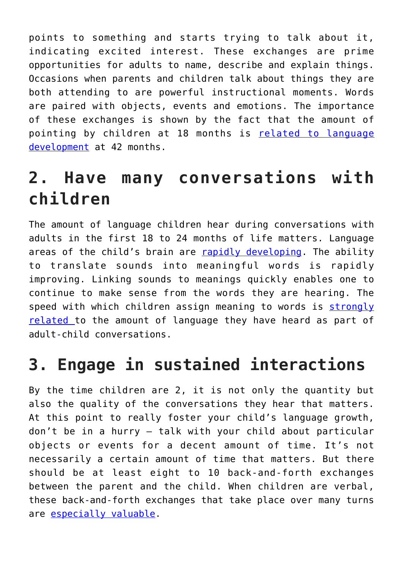points to something and starts trying to talk about it, indicating excited interest. These exchanges are prime opportunities for adults to name, describe and explain things. Occasions when parents and children talk about things they are both attending to are powerful instructional moments. Words are paired with objects, events and emotions. The importance of these exchanges is shown by the fact that the amount of pointing by children at 18 months is [related to language](https://onlinelibrary.wiley.com/doi/abs/10.1111/j.1467-7687.2008.00764.x) [development](https://onlinelibrary.wiley.com/doi/abs/10.1111/j.1467-7687.2008.00764.x) at 42 months.

## **2. Have many conversations with children**

The amount of language children hear during conversations with adults in the first 18 to 24 months of life matters. Language areas of the child's brain are [rapidly developing.](http://www.hup.harvard.edu/catalog.php?isbn=9780674007437) The ability to translate sounds into meaningful words is rapidly improving. Linking sounds to meanings quickly enables one to continue to make sense from the words they are hearing. The speed with which children assign meaning to words is [strongly](https://onlinelibrary.wiley.com/doi/abs/10.1111/j.1467-7687.2008.00768.x) [related](https://onlinelibrary.wiley.com/doi/abs/10.1111/j.1467-7687.2008.00768.x) to the amount of language they have heard as part of adult-child conversations.

## **3. Engage in sustained interactions**

By the time children are 2, it is not only the quantity but also the quality of the conversations they hear that matters. At this point to really foster your child's language growth, don't be in a hurry – talk with your child about particular objects or events for a decent amount of time. It's not necessarily a certain amount of time that matters. But there should be at least eight to 10 back-and-forth exchanges between the parent and the child. When children are verbal, these back-and-forth exchanges that take place over many turns are [especially valuable](https://journals.sagepub.com/doi/10.1177/0963721415595345).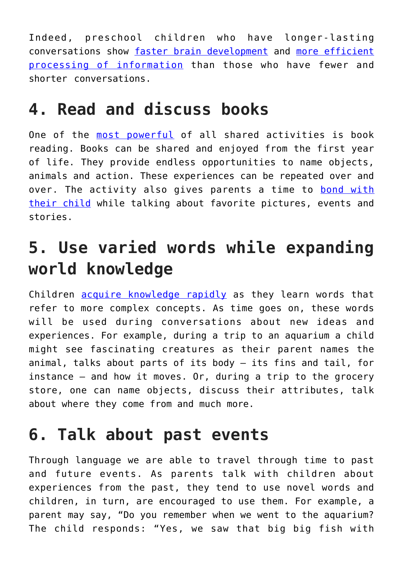Indeed, preschool children who have longer-lasting conversations show [faster brain development](http://www.jneurosci.org/content/38/36/7870) and [more efficient](https://journals.sagepub.com/doi/10.1177/0956797617742725) [processing of information](https://journals.sagepub.com/doi/10.1177/0956797617742725) than those who have fewer and shorter conversations.

#### **4. Read and discuss books**

One of the [most powerful](https://journals.sagepub.com/doi/10.3102/0034654309332561) of all shared activities is book reading. Books can be shared and enjoyed from the first year of life. They provide endless opportunities to name objects, animals and action. These experiences can be repeated over and over. The activity also gives parents a time to [bond with](https://www.jstor.org/stable/748207?origin=crossref) [their child](https://www.jstor.org/stable/748207?origin=crossref) while talking about favorite pictures, events and stories.

## **5. Use varied words while expanding world knowledge**

Children [acquire knowledge rapidly](https://ila.onlinelibrary.wiley.com/doi/abs/10.1598/RRQ.36.4.6) as they learn words that refer to more complex concepts. As time goes on, these words will be used during conversations about new ideas and experiences. For example, during a trip to an aquarium a child might see fascinating creatures as their parent names the animal, talks about parts of its body – its fins and tail, for instance – and how it moves. Or, during a trip to the grocery store, one can name objects, discuss their attributes, talk about where they come from and much more.

#### **6. Talk about past events**

Through language we are able to travel through time to past and future events. As parents talk with children about experiences from the past, they tend to use novel words and children, in turn, are encouraged to use them. For example, a parent may say, "Do you remember when we went to the aquarium? The child responds: "Yes, we saw that big big fish with